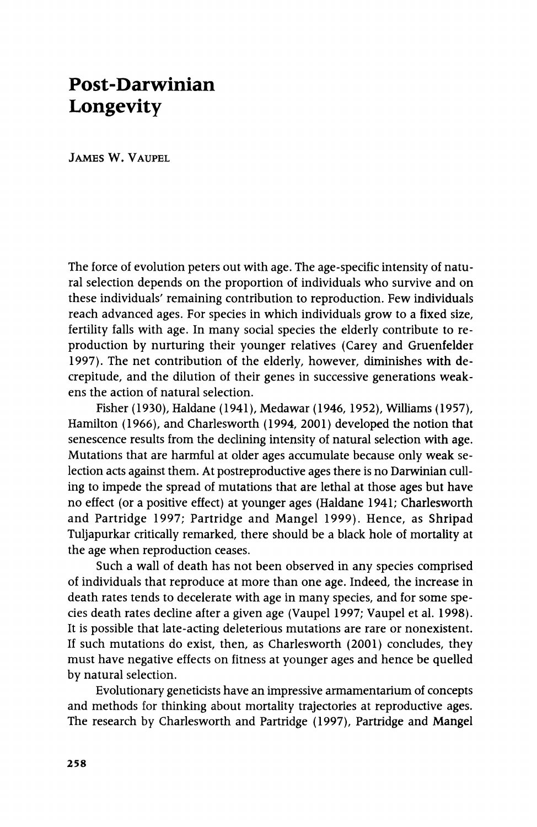# **Post-Darwinian Longevity**

**JAMES W. VAUPEL** 

**The force of evolution peters out with age. The age-specific intensity of natural selection depends on the proportion of individuals who survive and on these individuals' remaining contribution to reproduction. Few individuals reach advanced ages. For species in which individuals grow to a fixed size, fertility falls with age. In many social species the elderly contribute to reproduction by nurturing their younger relatives (Carey and Gruenfelder 1997). The net contribution of the elderly, however, diminishes with decrepitude, and the dilution of their genes in successive generations weakens the action of natural selection.** 

**Fisher (1930), Haldane (1941), Medawar (1946, 1952), Williams (1957), Hamilton (1966), and Charlesworth (1994, 2001) developed the notion that senescence results from the declining intensity of natural selection with age. Mutations that are harmful at older ages accumulate because only weak selection acts against them. At postreproductive ages there is no Darwinian culling to impede the spread of mutations that are lethal at those ages but have no effect (or a positive effect) at younger ages (Haldane 1941; Charlesworth and Partridge 1997; Partridge and Mangel 1999). Hence, as Shripad Tuljapurkar critically remarked, there should be a black hole of mortality at the age when reproduction ceases.** 

**Such a wall of death has not been observed in any species comprised of individuals that reproduce at more than one age. Indeed, the increase in death rates tends to decelerate with age in many species, and for some species death rates decline after a given age (Vaupel 1997; Vaupel et al. 1998). It is possible that late-acting deleterious mutations are rare or nonexistent. If such mutations do exist, then, as Charlesworth (2001) concludes, they must have negative effects on fitness at younger ages and hence be quelled by natural selection.** 

**Evolutionary geneticists have an impressive armamentarium of concepts and methods for thinking about mortality trajectories at reproductive ages. The research by Charlesworth and Partridge (1997), Partridge and Mangel**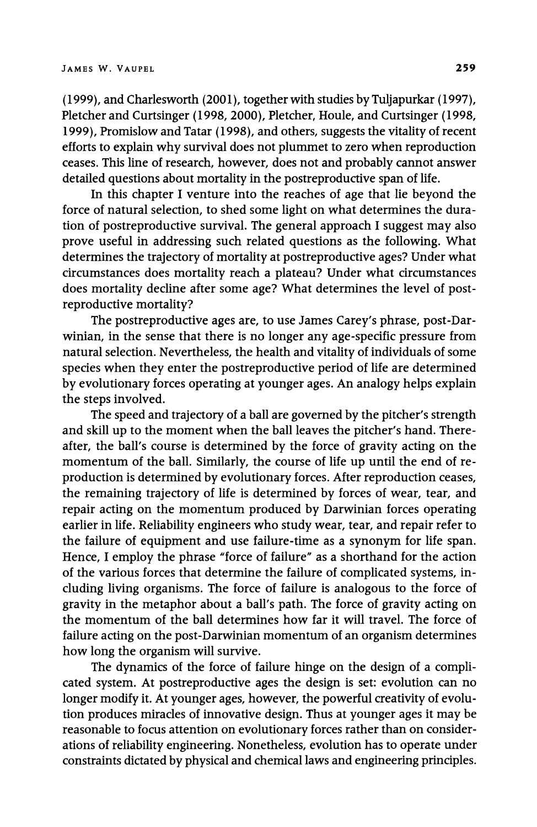**(1999), and Charlesworth (2001), together with studies by Tuljapurkar (1997), Pletcher and Curtsinger (1998, 2000), Pletcher, Houle, and Curtsinger (1998, 1999), Promislow and Tatar (1998), and others, suggests the vitality of recent efforts to explain why survival does not plummet to zero when reproduction ceases. This line of research, however, does not and probably cannot answer detailed questions about mortality in the postreproductive span of life.** 

**In this chapter I venture into the reaches of age that lie beyond the force of natural selection, to shed some light on what determines the duration of postreproductive survival. The general approach I suggest may also prove useful in addressing such related questions as the following. What determines the trajectory of mortality at postreproductive ages? Under what circumstances does mortality reach a plateau? Under what circumstances does mortality decline after some age? What determines the level of postreproductive mortality?** 

**The postreproductive ages are, to use James Carey's phrase, post-Darwinian, in the sense that there is no longer any age-specific pressure from natural selection. Nevertheless, the health and vitality of individuals of some species when they enter the postreproductive period of life are determined by evolutionary forces operating at younger ages. An analogy helps explain the steps involved.** 

**The speed and trajectory of a ball are governed by the pitcher's strength and skill up to the moment when the ball leaves the pitcher's hand. Thereafter, the ball's course is determined by the force of gravity acting on the momentum of the ball. Similarly, the course of life up until the end of reproduction is determined by evolutionary forces. After reproduction ceases, the remaining trajectory of life is determined by forces of wear, tear, and repair acting on the momentum produced by Darwinian forces operating earlier in life. Reliability engineers who study wear, tear, and repair refer to the failure of equipment and use failure-time as a synonym for life span. Hence, I employ the phrase "force of failure" as a shorthand for the action of the various forces that determine the failure of complicated systems, including living organisms. The force of failure is analogous to the force of gravity in the metaphor about a ball's path. The force of gravity acting on the momentum of the ball determines how far it will travel. The force of failure acting on the post-Darwinian momentum of an organism determines how long the organism will survive.** 

**The dynamics of the force of failure hinge on the design of a complicated system. At postreproductive ages the design is set: evolution can no longer modify it. At younger ages, however, the powerful creativity of evolution produces miracles of innovative design. Thus at younger ages it may be reasonable to focus attention on evolutionary forces rather than on considerations of reliability engineering. Nonetheless, evolution has to operate under constraints dictated by physical and chemical laws and engineering principles.**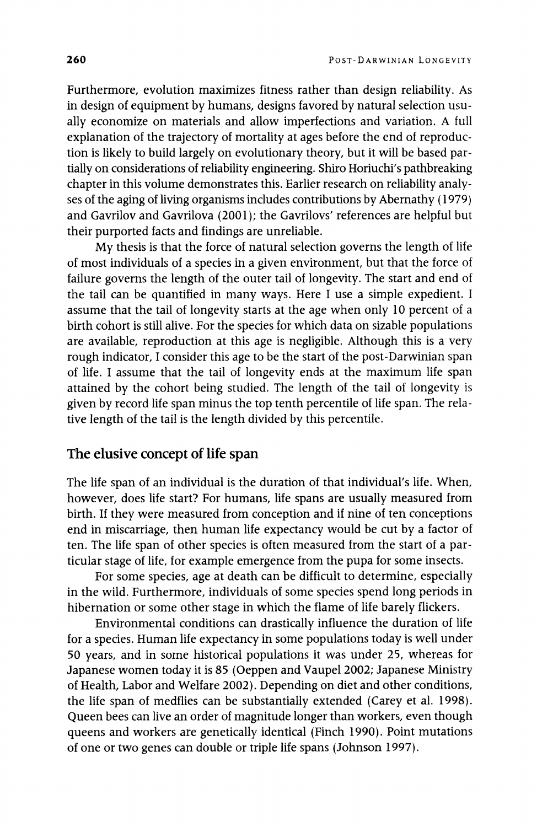**Furthermore, evolution maximizes fitness rather than design reliability. As in design of equipment by humans, designs favored by natural selection usually economize on materials and allow imperfections and variation. A full explanation of the trajectory of mortality at ages before the end of reproduction is likely to build largely on evolutionary theory, but it will be based partially on considerations of reliability engineering. Shiro Horiuchi's pathbreaking chapter in this volume demonstrates this. Earlier research on reliability analyses of the aging of living organisms includes contributions by Abernathy (1979) and Gavrilov and Gavrilova (2001); the Gavrilovs' references are helpful but their purported facts and findings are unreliable.** 

**My thesis is that the force of natural selection governs the length of life of most individuals of a species in a given environment, but that the force of failure governs the length of the outer tail of longevity. The start and end of the tail can be quantified in many ways. Here I use a simple expedient. I assume that the tail of longevity starts at the age when only 10 percent of a birth cohort is still alive. For the species for which data on sizable populations are available, reproduction at this age is negligible. Although this is a very rough indicator, I consider this age to be the start of the post-Darwinian span of life. I assume that the tail of longevity ends at the maximum life span attained by the cohort being studied. The length of the tail of longevity is given by record life span minus the top tenth percentile of life span. The relative length of the tail is the length divided by this percentile.** 

# **The elusive concept of life span**

**The life span of an individual is the duration of that individual's life. When, however, does life start? For humans, life spans are usually measured from birth. If they were measured from conception and if nine of ten conceptions end in miscarriage, then human life expectancy would be cut by a factor of ten. The life span of other species is often measured from the start of a particular stage of life, for example emergence from the pupa for some insects.** 

**For some species, age at death can be difficult to determine, especially in the wild. Furthermore, individuals of some species spend long periods in hibernation or some other stage in which the flame of life barely flickers.** 

**Environmental conditions can drastically influence the duration of life for a species. Human life expectancy in some populations today is well under 50 years, and in some historical populations it was under 25, whereas for Japanese women today it is 85 (Oeppen and Vaupel 2002; Japanese Ministry of Health, Labor and Welfare 2002). Depending on diet and other conditions, the life span of medflies can be substantially extended (Carey et al. 1998). Queen bees can live an order of magnitude longer than workers, even though queens and workers are genetically identical (Finch 1990). Point mutations of one or two genes can double or triple life spans (Johnson 1997).**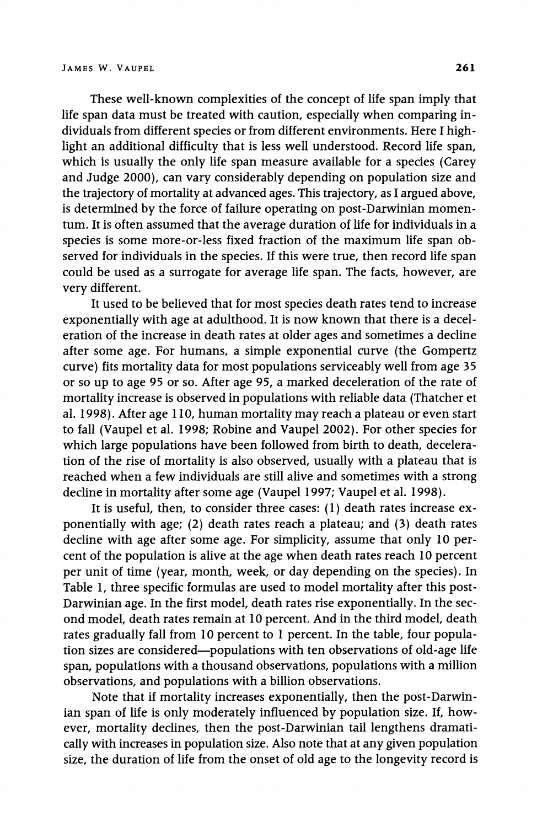**These well-known complexities of the concept of life span imply that life span data must be treated with caution, especially when comparing individuals from different species or from different environments. Here I highlight an additional difficulty that is less well understood. Record life span, which is usually the only life span measure available for a species (Carey and Judge 2000), can vary considerably depending on population size and the trajectory of mortality at advanced ages. This trajectory, as I argued above, is determined by the force of failure operating on post-Darwinian momentum. It is often assumed that the average duration of life for individuals in a species is some more-or-less fixed fraction of the maximum life span observed for individuals in the species. If this were true, then record life span could be used as a surrogate for average life span. The facts, however, are very different.** 

**It used to be believed that for most species death rates tend to increase exponentially with age at adulthood. It is now known that there is a deceleration of the increase in death rates at older ages and sometimes a decline after some age. For humans, a simple exponential curve (the Gompertz curve) fits mortality data for most populations serviceably well from age 35 or so up to age 95 or so. After age 95, a marked deceleration of the rate of mortality increase is observed in populations with reliable data (Thatcher et al. 1998). After age 110, human mortality may reach a plateau or even start to fall (Vaupel et al. 1998; Robine and Vaupel 2002). For other species for which large populations have been followed from birth to death, deceleration of the rise of mortality is also observed, usually with a plateau that is reached when a few individuals are still alive and sometimes with a strong decline in mortality after some age (Vaupel 1997; Vaupel et al. 1998).** 

**It is useful, then, to consider three cases: (1) death rates increase exponentially with age; (2) death rates reach a plateau; and (3) death rates decline with age after some age. For simplicity, assume that only 10 percent of the population is alive at the age when death rates reach 10 percent per unit of time (year, month, week, or day depending on the species). In Table 1, three specific formulas are used to model mortality after this post-Darwinian age. In the first model, death rates rise exponentially. In the second model, death rates remain at 10 percent. And in the third model, death rates gradually fall from 10 percent to 1 percent. In the table, four population sizes are considered-populations with ten observations of old-age life span, populations with a thousand observations, populations with a million observations, and populations with a billion observations.** 

**Note that if mortality increases exponentially, then the post-Darwinian span of life is only moderately influenced by population size. If, however, mortality declines, then the post-Darwinian tail lengthens dramatically with increases in population size. Also note that at any given population size, the duration of life from the onset of old age to the longevity record is**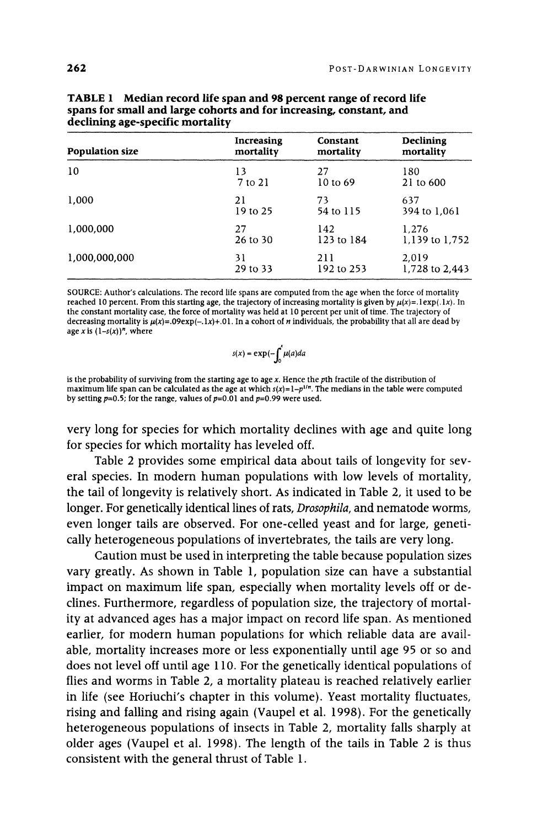| <b>Population size</b> | Increasing | Constant   | <b>Declining</b> |
|------------------------|------------|------------|------------------|
|                        | mortality  | mortality  | mortality        |
| 10                     | 13         | 27         | 180              |
|                        | 7 to 21    | 10 to 69   | 21 to 600        |
| 1.000                  | 21         | 73         | 637              |
|                        | 19 to 25   | 54 to 115  | 394 to 1.061     |
| 1.000.000              | 27         | 142        | 1.276            |
|                        | 26 to 30   | 123 to 184 | 1,139 to 1,752   |
| 1,000,000,000          | 31         | 211        | 2.019            |
|                        | 29 to 33   | 192 to 253 | 1,728 to 2,443   |

| <b>TABLE 1</b> Median record life span and 98 percent range of record life |
|----------------------------------------------------------------------------|
| spans for small and large cohorts and for increasing, constant, and        |
| declining age-specific mortality                                           |

**SOURCE: Author's calculations. The record life spans are computed from the age when the force of mortality**  reached 10 percent. From this starting age, the trajectory of increasing mortality is given by  $\mu(x) = 1 \exp(.1x)$ . In **the constant mortality case, the force of mortality was held at 10 percent per unit of time. The trajectory of**  decreasing mortality is  $\mu(x) = .09 \exp(-.1x) + .01$ . In a cohort of *n* individuals, the probability that all are dead by age x is  $(1-s(x))^n$ , where

$$
s(x) = \exp(-\int_0^x \mu(a)da
$$

**is the probability of surviving from the starting age to age x. Hence the pth fractile of the distribution of**  maximum life span can be calculated as the age at which  $s(x)=1-p^{1/n}$ . The medians in the table were computed **by setting p=0.5; for the range, values of p=0.01 and p=0.99 were used.** 

**very long for species for which mortality declines with age and quite long for species for which mortality has leveled off.** 

**Table 2 provides some empirical data about tails of longevity for several species. In modern human populations with low levels of mortality, the tail of longevity is relatively short. As indicated in Table 2, it used to be longer. For genetically identical lines of rats, Drosophila, and nematode worms, even longer tails are observed. For one-celled yeast and for large, genetically heterogeneous populations of invertebrates, the tails are very long.** 

**Caution must be used in interpreting the table because population sizes vary greatly. As shown in Table 1, population size can have a substantial impact on maximum life span, especially when mortality levels off or declines. Furthermore, regardless of population size, the trajectory of mortality at advanced ages has a major impact on record life span. As mentioned earlier, for modern human populations for which reliable data are available, mortality increases more or less exponentially until age 95 or so and does not level off until age 110. For the genetically identical populations of flies and worms in Table 2, a mortality plateau is reached relatively earlier in life (see Horiuchi's chapter in this volume). Yeast mortality fluctuates, rising and falling and rising again (Vaupel et al. 1998). For the genetically heterogeneous populations of insects in Table 2, mortality falls sharply at older ages (Vaupel et al. 1998). The length of the tails in Table 2 is thus consistent with the general thrust of Table 1.**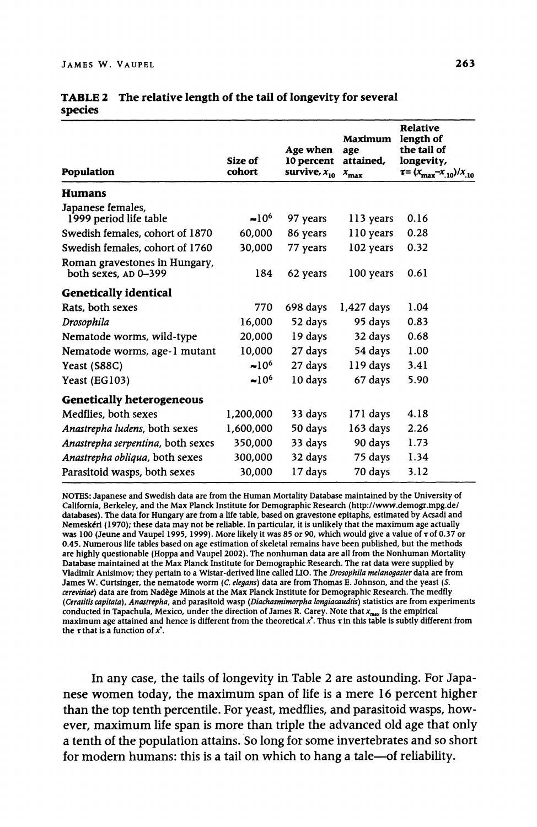| <b>Population</b>                                     | Size of<br>cohort | Age when<br>10 percent<br>survive, $x_{10}$ | <b>Maximum</b><br>age<br>attained,<br>$x_{\rm max}$ | <b>Relative</b><br>length of<br>the tail of<br>longevity,<br>$\tau = (x_{\text{max}} - x_{10})/x_{10}$ |
|-------------------------------------------------------|-------------------|---------------------------------------------|-----------------------------------------------------|--------------------------------------------------------------------------------------------------------|
| <b>Humans</b>                                         |                   |                                             |                                                     |                                                                                                        |
| Japanese females,<br>1999 period life table           | $\approx 10^6$    | 97 years                                    | 113 years                                           | 0.16                                                                                                   |
| Swedish females, cohort of 1870                       | 60,000            | 86 years                                    | 110 years                                           | 0.28                                                                                                   |
| Swedish females, cohort of 1760                       | 30,000            | 77 years                                    | 102 years                                           | 0.32                                                                                                   |
| Roman gravestones in Hungary,<br>both sexes, AD 0-399 | 184               | 62 years                                    | 100 years                                           | 0.61                                                                                                   |
| <b>Genetically identical</b>                          |                   |                                             |                                                     |                                                                                                        |
| Rats, both sexes                                      | 770               | 698 days                                    | 1,427 days                                          | 1.04                                                                                                   |
| Drosophila                                            | 16,000            | 52 days                                     | 95 days                                             | 0.83                                                                                                   |
| Nematode worms, wild-type                             | 20,000            | 19 days                                     | 32 days                                             | 0.68                                                                                                   |
| Nematode worms, age-1 mutant                          | 10,000            | 27 days                                     | 54 days                                             | 1.00                                                                                                   |
| Yeast (S88C)                                          | $\approx 10^6$    | 27 days                                     | 119 days                                            | 3.41                                                                                                   |
| Yeast (EG103)                                         | $~10^6$           | 10 days                                     | 67 days                                             | 5.90                                                                                                   |
| <b>Genetically heterogeneous</b>                      |                   |                                             |                                                     |                                                                                                        |
| Medflies, both sexes                                  | 1,200,000         | 33 days                                     | 171 days                                            | 4.18                                                                                                   |
| Anastrepha ludens, both sexes                         | 1,600,000         | 50 days                                     | 163 days                                            | 2.26                                                                                                   |
| Anastrepha serpentina, both sexes                     | 350,000           | 33 days                                     | 90 days                                             | 1.73                                                                                                   |
| Anastrepha obliqua, both sexes                        | 300,000           | 32 days                                     | 75 days                                             | 1.34                                                                                                   |
| Parasitoid wasps, both sexes                          | 30,000            | 17 days                                     | 70 days                                             | 3.12                                                                                                   |

|         | <b>TABLE 2</b> The relative length of the tail of longevity for several |
|---------|-------------------------------------------------------------------------|
| species |                                                                         |

**NOTES: Japanese and Swedish data are from the Human Mortality Database maintained by the University of California, Berkeley, and the Max Planck Institute for Demographic Research (http://www.demogr.mpg.de/ databases). The data for Hungary are from a life table, based on gravestone epitaphs, estimated by Acsadi and Nemeskeri (1970); these data may not be reliable. In particular, it is unlikely that the maximum age actually was 100 (Jeune and Vaupel 1995, 1999). More likely it was 85 or 90, which would give a value of rof 0.37 or 0.45. Numerous life tables based on age estimation of skeletal remains have been published, but the methods are highly questionable (Hoppa and Vaupel 2002). The nonhuman data are all from the Nonhuman Mortality Database maintained at the Max Planck Institute for Demographic Research. The rat data were supplied by Vladimir Anisimov; they pertain to a Wistar-derived line called LIO. The Drosophila melanogaster data are from**  James W. Curtsinger, the nematode worm (*C. elegans*) data are from Thomas E. Johnson, and the yeast (*S.* **cerevisiae) data are from Nadege Minois at the Max Planck Institute for Demographic Research. The medfly (Ceratitis capitata), Anastrepha, and parasitoid wasp (Diachasmimorpha longiacaudtis) statistics are from experiments**  conducted in Tapachula, Mexico, under the direction of James R. Carey. Note that x<sub>max</sub> is the empirical **maximum age attained and hence is different from the theoretical**  $x^*$ **. Thus**  $\tau$  **in this table is subtly different from** the  $\tau$  that is a function of  $x^*$ .

**In any case, the tails of longevity in Table 2 are astounding. For Japanese women today, the maximum span of life is a mere 16 percent higher than the top tenth percentile. For yeast, medflies, and parasitoid wasps, however, maximum life span is more than triple the advanced old age that only a tenth of the population attains. So long for some invertebrates and so short**  for modern humans: this is a tail on which to hang a tale--of reliability.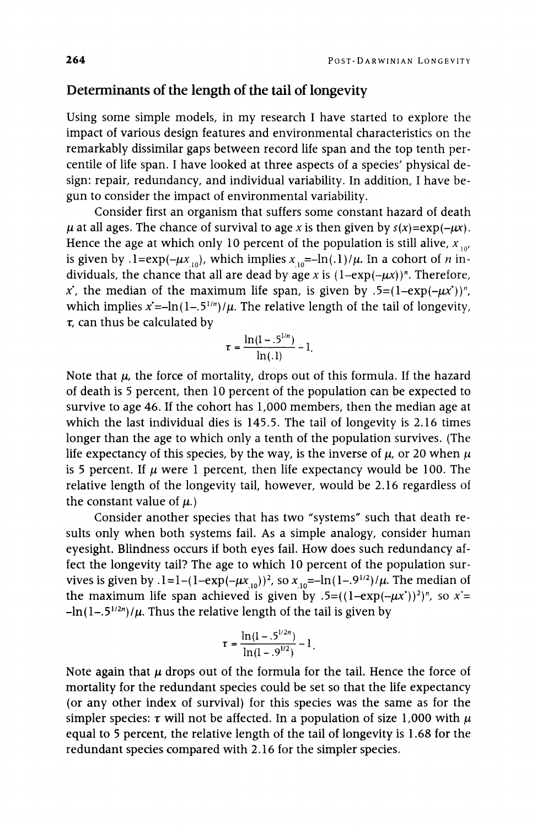## **Determinants of the length of the tail of longevity**

**Using some simple models, in my research I have started to explore the impact of various design features and environmental characteristics on the remarkably dissimilar gaps between record life span and the top tenth percentile of life span. I have looked at three aspects of a species' physical design: repair, redundancy, and individual variability. In addition, I have begun to consider the impact of environmental variability.** 

**Consider first an organism that suffers some constant hazard of death**   $\mu$  at all ages. The chance of survival to age x is then given by  $s(x) = \exp(-\mu x)$ . Hence the age at which only 10 percent of the population is still alive,  $x_{10}$ , is given by .1= $\exp(-\mu x_{10})$ , which implies  $x_{10} = -\ln(1)/\mu$ . In a cohort of *n* individuals, the chance that all are dead by age x is  $(1-\exp(-\mu x))^n$ . Therefore,  $x^*$ , the median of the maximum life span, is given by .5= $(1-exp(-\mu x^*))^n$ , which implies  $x^* = -\ln(1 - .5^{1/n})/\mu$ . The relative length of the tail of longevity, **v, can thus be calculated by** 

$$
\tau = \frac{\ln(1-.5^{1/n})}{\ln(.1)} - 1.
$$

Note that  $\mu$ , the force of mortality, drops out of this formula. If the hazard **of death is 5 percent, then 10 percent of the population can be expected to survive to age 46. If the cohort has 1,000 members, then the median age at which the last individual dies is 145.5. The tail of longevity is 2.16 times longer than the age to which only a tenth of the population survives. (The**  life expectancy of this species, by the way, is the inverse of  $\mu$ , or 20 when  $\mu$ is 5 percent. If  $\mu$  were 1 percent, then life expectancy would be 100. The **relative length of the longevity tail, however, would be 2.16 regardless of**  the constant value of  $\mu$ .)

**Consider another species that has two "systems" such that death results only when both systems fail. As a simple analogy, consider human eyesight. Blindness occurs if both eyes fail. How does such redundancy affect the longevity tail? The age to which 10 percent of the population survives is given by**  $.1 = 1 - (1 - \exp(-\mu x_{10}))^2$ , so  $x_{10} = -\ln(1 - .9^{1/2})/\mu$ . The median of the maximum life span achieved is given by  $.5=((1-exp(-\mu x^*))^2)^n$ , so  $x^*=$  $-\ln(1-.5^{1/2n})/\mu$ . Thus the relative length of the tail is given by

$$
\tau = \frac{\ln(1 - .5^{1/2n})}{\ln(1 - .9^{1/2})} - 1
$$

Note again that  $\mu$  drops out of the formula for the tail. Hence the force of **mortality for the redundant species could be set so that the life expectancy (or any other index of survival) for this species was the same as for the**  simpler species:  $\tau$  will not be affected. In a population of size 1,000 with  $\mu$ **equal to 5 percent, the relative length of the tail of longevity is 1.68 for the redundant species compared with 2.16 for the simpler species.**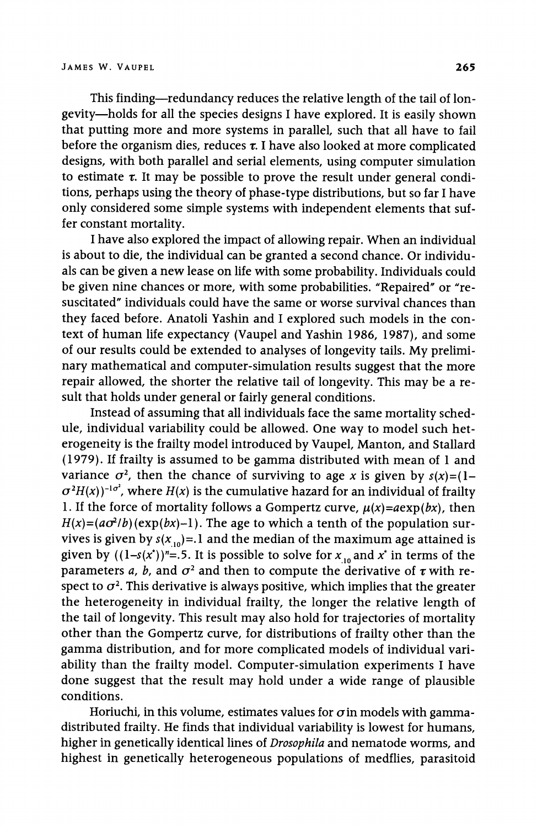**This finding-redundancy reduces the relative length of the tail of longevity-holds for all the species designs I have explored. It is easily shown that putting more and more systems in parallel, such that all have to fail**  before the organism dies, reduces  $\tau$ . I have also looked at more complicated **designs, with both parallel and serial elements, using computer simulation**  to estimate  $\tau$ . It may be possible to prove the result under general condi**tions, perhaps using the theory of phase-type distributions, but so far I have only considered some simple systems with independent elements that suffer constant mortality.** 

**I have also explored the impact of allowing repair. When an individual is about to die, the individual can be granted a second chance. Or individuals can be given a new lease on life with some probability. Individuals could be given nine chances or more, with some probabilities. "Repaired" or "resuscitated" individuals could have the same or worse survival chances than they faced before. Anatoli Yashin and I explored such models in the context of human life expectancy (Vaupel and Yashin 1986, 1987), and some of our results could be extended to analyses of longevity tails. My preliminary mathematical and computer-simulation results suggest that the more repair allowed, the shorter the relative tail of longevity. This may be a result that holds under general or fairly general conditions.** 

**Instead of assuming that all individuals face the same mortality schedule, individual variability could be allowed. One way to model such heterogeneity is the frailty model introduced by Vaupel, Manton, and Stallard (1979). If frailty is assumed to be gamma distributed with mean of 1 and**  variance  $\sigma^2$ , then the chance of surviving to age x is given by  $s(x) = (1 \sigma^2 H(x)$ <sup>-1 $\sigma^2$ </sup>, where  $H(x)$  is the cumulative hazard for an individual of frailty 1. If the force of mortality follows a Gompertz curve,  $\mu(x) = a \exp(bx)$ , then  $H(x)=(a\sigma^2/b)(\exp(bx)-1)$ . The age to which a tenth of the population survives is given by  $s(x_{10})=1$  and the median of the maximum age attained is given by  $((1-s(x^*))^n = .5$ . It is possible to solve for  $x_{10}$  and  $x^*$  in terms of the parameters *a*, *b*, and  $\sigma^2$  and then to compute the derivative of  $\tau$  with respect to  $\sigma^2$ . This derivative is always positive, which implies that the greater **the heterogeneity in individual frailty, the longer the relative length of the tail of longevity. This result may also hold for trajectories of mortality other than the Gompertz curve, for distributions of frailty other than the gamma distribution, and for more complicated models of individual variability than the frailty model. Computer-simulation experiments I have done suggest that the result may hold under a wide range of plausible conditions.** 

Horiuchi, in this volume, estimates values for  $\sigma$  in models with gamma**distributed frailty. He finds that individual variability is lowest for humans, higher in genetically identical lines of Drosophila and nematode worms, and highest in genetically heterogeneous populations of medflies, parasitoid**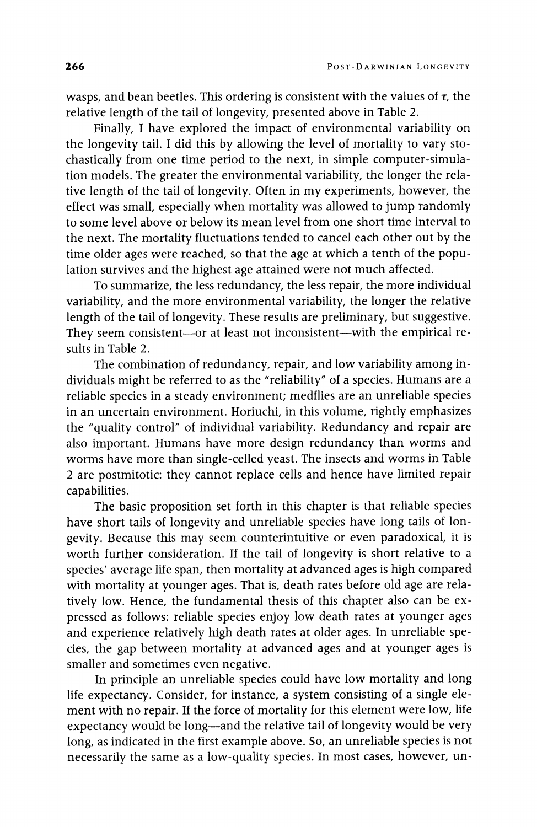wasps, and bean beetles. This ordering is consistent with the values of  $\tau$ , the **relative length of the tail of longevity, presented above in Table 2.** 

**Finally, I have explored the impact of environmental variability on the longevity tail. I did this by allowing the level of mortality to vary stochastically from one time period to the next, in simple computer-simulation models. The greater the environmental variability, the longer the relative length of the tail of longevity. Often in my experiments, however, the effect was small, especially when mortality was allowed to jump randomly to some level above or below its mean level from one short time interval to the next. The mortality fluctuations tended to cancel each other out by the time older ages were reached, so that the age at which a tenth of the population survives and the highest age attained were not much affected.** 

**To summarize, the less redundancy, the less repair, the more individual variability, and the more environmental variability, the longer the relative length of the tail of longevity. These results are preliminary, but suggestive.**  They seem consistent-or at least not inconsistent-with the empirical re**sults in Table 2.** 

**The combination of redundancy, repair, and low variability among individuals might be referred to as the "reliability" of a species. Humans are a reliable species in a steady environment; medflies are an unreliable species in an uncertain environment. Horiuchi, in this volume, rightly emphasizes the "quality control" of individual variability. Redundancy and repair are also important. Humans have more design redundancy than worms and worms have more than single-celled yeast. The insects and worms in Table 2 are postmitotic: they cannot replace cells and hence have limited repair capabilities.** 

**The basic proposition set forth in this chapter is that reliable species have short tails of longevity and unreliable species have long tails of longevity. Because this may seem counterintuitive or even paradoxical, it is worth further consideration. If the tail of longevity is short relative to a species' average life span, then mortality at advanced ages is high compared with mortality at younger ages. That is, death rates before old age are relatively low. Hence, the fundamental thesis of this chapter also can be expressed as follows: reliable species enjoy low death rates at younger ages and experience relatively high death rates at older ages. In unreliable species, the gap between mortality at advanced ages and at younger ages is smaller and sometimes even negative.** 

**In principle an unreliable species could have low mortality and long life expectancy. Consider, for instance, a system consisting of a single element with no repair. If the force of mortality for this element were low, life expectancy would be long-and the relative tail of longevity would be very long, as indicated in the first example above. So, an unreliable species is not necessarily the same as a low-quality species. In most cases, however, un-**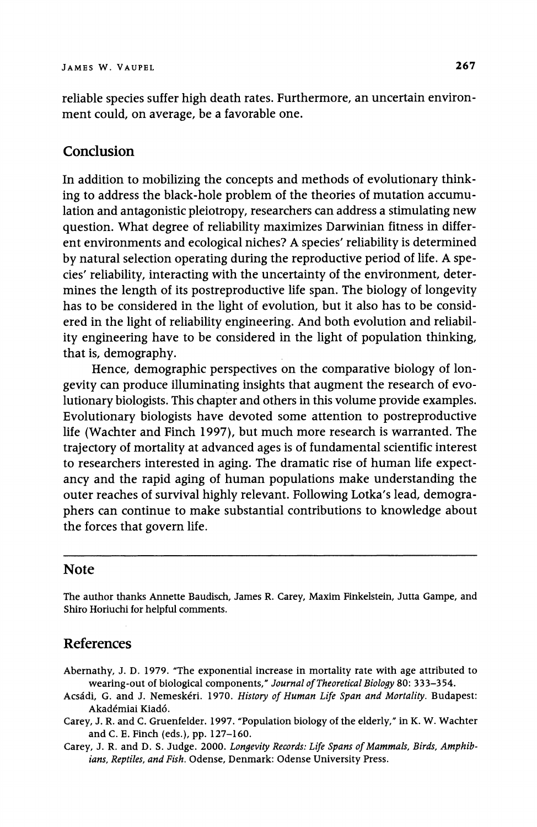**reliable species suffer high death rates. Furthermore, an uncertain environment could, on average, be a favorable one.** 

### **Conclusion**

**In addition to mobilizing the concepts and methods of evolutionary thinking to address the black-hole problem of the theories of mutation accumulation and antagonistic pleiotropy, researchers can address a stimulating new question. What degree of reliability maximizes Darwinian fitness in different environments and ecological niches? A species' reliability is determined by natural selection operating during the reproductive period of life. A species' reliability, interacting with the uncertainty of the environment, determines the length of its postreproductive life span. The biology of longevity has to be considered in the light of evolution, but it also has to be considered in the light of reliability engineering. And both evolution and reliability engineering have to be considered in the light of population thinking, that is, demography.** 

**Hence, demographic perspectives on the comparative biology of longevity can produce illuminating insights that augment the research of evolutionary biologists. This chapter and others in this volume provide examples. Evolutionary biologists have devoted some attention to postreproductive life (Wachter and Finch 1997), but much more research is warranted. The trajectory of mortality at advanced ages is of fundamental scientific interest to researchers interested in aging. The dramatic rise of human life expectancy and the rapid aging of human populations make understanding the outer reaches of survival highly relevant. Following Lotka's lead, demographers can continue to make substantial contributions to knowledge about the forces that govern life.** 

#### **Note**

**The author thanks Annette Baudisch, James R. Carey, Maxim Finkelstein, Jutta Gampe, and Shiro Horiuchi for helpful comments.** 

#### **References**

- **Abernathy, J. D. 1979. "The exponential increase in mortality rate with age attributed to wearing-out of biological components," Journal of Theoretical Biology 80: 333-354.**
- **Acsadi, G. and J. Nemeskeri. 1970. History of Human Life Span and Mortality. Budapest: Akademiai Kiad6.**
- **Carey, J. R. and C. Gruenfelder. 1997. "Population biology of the elderly," in K. W. Wachter and C. E. Finch (eds.), pp. 127-160.**
- **Carey, J. R. and D. S. Judge. 2000. Longevity Records: Life Spans of Mammals, Birds, Amphibians, Reptiles, and Fish. Odense, Denmark: Odense University Press.**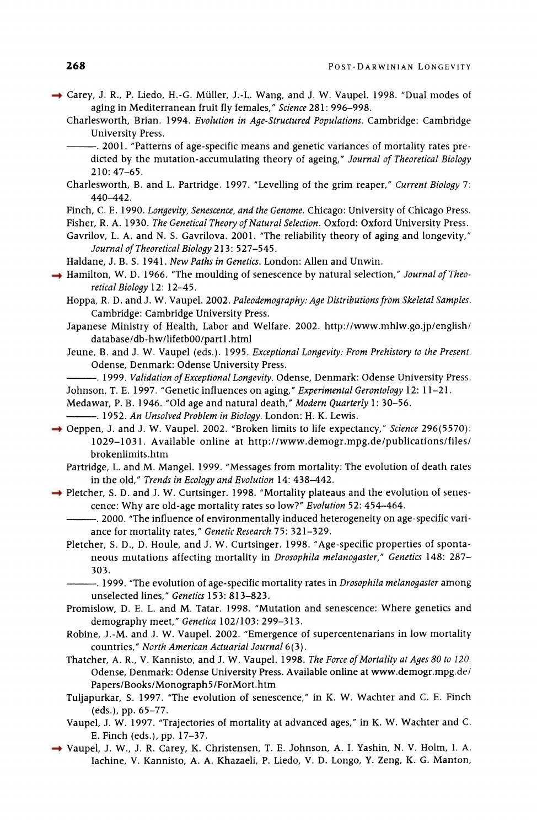- **Carey, J. R., P. Liedo, H.-G. Muller, J.-L. Wang, and J. W. Vaupel. 1998. "Dual modes of aging in Mediterranean fruit fly females," Science 281: 996-998.** 
	- **Charlesworth, Brian. 1994. Evolution in Age-Structured Populations. Cambridge: Cambridge University Press.** 
		- **.2001. "Patterns of age-specific means and genetic variances of mortality rates predicted by the mutation-accumulating theory of ageing," Journal of Theoretical Biology 210: 47-65.**
	- **Charlesworth, B. and L. Partridge. 1997. "Levelling of the grim reaper," Current Biology 7: 440-442.**
	- **Finch, C. E. 1990. Longevity, Senescence, and the Genome. Chicago: University of Chicago Press.**

**Fisher, R. A. 1930. The Genetical Theory of Natural Selection. Oxford: Oxford University Press.** 

- **Gavrilov, L. A. and N. S. Gavrilova. 2001. "The reliability theory of aging and longevity," Journal of Theoretical Biology 213: 527-545.**
- **Haldane, J. B. S. 1941. New Paths in Genetics. London: Allen and Unwin.**
- **Hamilton, W. D. 1966. "The moulding of senescence by natural selection," Journal of Theoretical Biology 12: 12-45.** 
	- **Hoppa, R. D. and J. W. Vaupel. 2002. Paleodemography: Age Distributions from Skeletal Samples. Cambridge: Cambridge University Press.**
	- **Japanese Ministry of Health, Labor and Welfare. 2002. http://www.mhlw.go.jp/english/ database/db-hw/lifetbO0/part .html**
	- **Jeune, B. and J. W. Vaupel (eds.). 1995. Exceptional Longevity: From Prehistory to the Present. Odense, Denmark: Odense University Press.**
	- **.1999. Validation of Exceptional Longevity. Odense, Denmark: Odense University Press. Johnson, T. E. 1997. "Genetic influences on aging," Experimental Gerontology 12: 11-21.**
	- **Medawar, P. B. 1946. "Old age and natural death," Modern Quarterly 1: 30-56.**
	- **. 1952. An Unsolved Problem in Biology. London: H. K. Lewis.**
- → Oeppen, J. and J. W. Vaupel. 2002. "Broken limits to life expectancy," Science 296(5570): **1029-1031. Available online at http://www.demogr.mpg.de/publications/files/ brokenlimits.htm** 
	- **Partridge, L. and M. Mangel. 1999. "Messages from mortality: The evolution of death rates in the old," Trends in Ecology and Evolution 14: 438-442.**
- → Pletcher, S. D. and J. W. Curtsinger. 1998. "Mortality plateaus and the evolution of senes**cence: Why are old-age mortality rates so low?" Evolution 52: 454-464.** 
	- **.2000. "The influence of environmentally induced heterogeneity on age-specific variance for mortality rates," Genetic Research 75: 321-329.**
	- **Pletcher, S. D., D. Houle, and J. W. Curtsinger. 1998. "Age-specific properties of spontaneous mutations affecting mortality in Drosophila melanogaster," Genetics 148: 287- 303.** 
		- **1999. "The evolution of age-specific mortality rates in Drosophila melanogaster among unselected lines," Genetics 153: 813-823.**
	- **Promislow, D. E. L. and M. Tatar. 1998. "Mutation and senescence: Where genetics and demography meet," Genetica 102/103: 299-313.**
	- **Robine, J.-M. and J. W. Vaupel. 2002. "Emergence of supercentenarians in low mortality countries," North American Actuarial Journal 6(3).**
	- **Thatcher, A. R., V. Kannisto, and J. W. Vaupel. 1998. The Force of Mortality at Ages 80 to 120. Odense, Denmark: Odense University Press. Available online at www.demogr.mpg.de/ Papers/Books/Monograph5 /ForMort.htm**
	- **Tuljapurkar, S. 1997. "The evolution of senescence," in K. W. Wachter and C. E. Finch (eds.), pp. 65-77.**
	- **Vaupel, J. W. 1997. "Trajectories of mortality at advanced ages," in K. W. Wachter and C. E. Finch (eds.), pp. 17-37.**
- **Vaupel, J. W., J. R. Carey, K. Christensen, T. E. Johnson, A. I. Yashin, N. V. Holm, I. A. Iachine, V. Kannisto, A. A. Khazaeli, P. Liedo, V. D. Longo, Y. Zeng, K. G. Manton,**